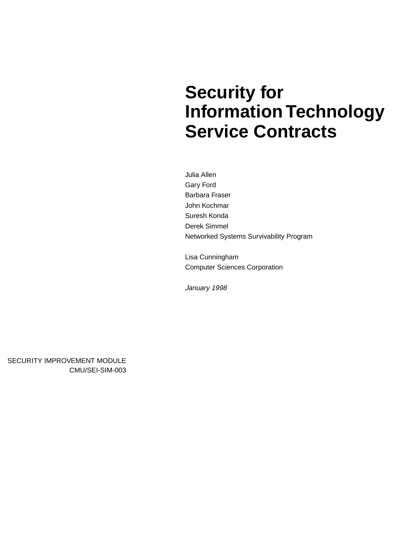# **Security for Information Technology Service Contracts**

Julia Allen Gary Ford Barbara Fraser John Kochmar Suresh Konda Derek Simmel Networked Systems Survivability Program

Lisa Cunningham Computer Sciences Corporation

January 1998

SECURITY IMPROVEMENT MODULE CMU/SEI-SIM-003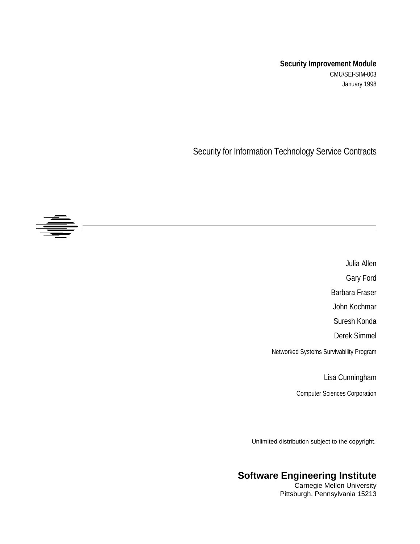### **Security Improvement Module** CMU/SEI-SIM-003 January 1998

Security for Information Technology Service Contracts



Julia Allen Gary Ford Barbara Fraser John Kochmar Suresh Konda Derek Simmel Networked Systems Survivability Program

Lisa Cunningham

Computer Sciences Corporation

Unlimited distribution subject to the copyright.

### **Software Engineering Institute**

Carnegie Mellon University Pittsburgh, Pennsylvania 15213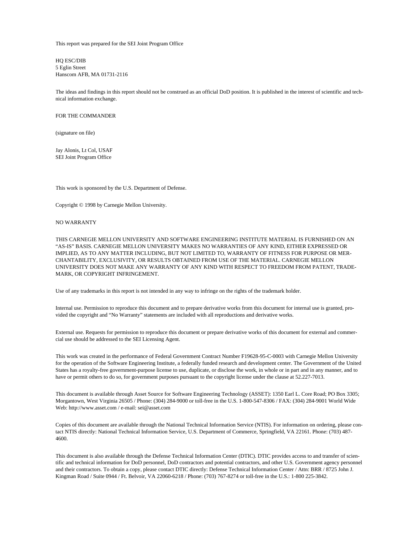This report was prepared for the SEI Joint Program Office

HQ ESC/DIB 5 Eglin Street Hanscom AFB, MA 01731-2116

The ideas and findings in this report should not be construed as an official DoD position. It is published in the interest of scientific and technical information exchange.

#### FOR THE COMMANDER

(signature on file)

Jay Alonis, Lt Col, USAF SEI Joint Program Office

This work is sponsored by the U.S. Department of Defense.

Copyright © 1998 by Carnegie Mellon University.

#### NO WARRANTY

THIS CARNEGIE MELLON UNIVERSITY AND SOFTWARE ENGINEERING INSTITUTE MATERIAL IS FURNISHED ON AN "AS-IS" BASIS. CARNEGIE MELLON UNIVERSITY MAKES NO WARRANTIES OF ANY KIND, EITHER EXPRESSED OR IMPLIED, AS TO ANY MATTER INCLUDING, BUT NOT LIMITED TO, WARRANTY OF FITNESS FOR PURPOSE OR MER-CHANTABILITY, EXCLUSIVITY, OR RESULTS OBTAINED FROM USE OF THE MATERIAL. CARNEGIE MELLON UNIVERSITY DOES NOT MAKE ANY WARRANTY OF ANY KIND WITH RESPECT TO FREEDOM FROM PATENT, TRADE-MARK, OR COPYRIGHT INFRINGEMENT.

Use of any trademarks in this report is not intended in any way to infringe on the rights of the trademark holder.

Internal use. Permission to reproduce this document and to prepare derivative works from this document for internal use is granted, provided the copyright and "No Warranty" statements are included with all reproductions and derivative works.

External use. Requests for permission to reproduce this document or prepare derivative works of this document for external and commercial use should be addressed to the SEI Licensing Agent.

This work was created in the performance of Federal Government Contract Number F19628-95-C-0003 with Carnegie Mellon University for the operation of the Software Engineering Institute, a federally funded research and development center. The Government of the United States has a royalty-free government-purpose license to use, duplicate, or disclose the work, in whole or in part and in any manner, and to have or permit others to do so, for government purposes pursuant to the copyright license under the clause at 52.227-7013.

This document is available through Asset Source for Software Engineering Technology (ASSET): 1350 Earl L. Core Road; PO Box 3305; Morgantown, West Virginia 26505 / Phone: (304) 284-9000 or toll-free in the U.S. 1-800-547-8306 / FAX: (304) 284-9001 World Wide Web: http://www.asset.com / e-mail: sei@asset.com

Copies of this document are available through the National Technical Information Service (NTIS). For information on ordering, please contact NTIS directly: National Technical Information Service, U.S. Department of Commerce, Springfield, VA 22161. Phone: (703) 487- 4600.

This document is also available through the Defense Technical Information Center (DTIC). DTIC provides access to and transfer of scientific and technical information for DoD personnel, DoD contractors and potential contractors, and other U.S. Government agency personnel and their contractors. To obtain a copy, please contact DTIC directly: Defense Technical Information Center / Attn: BRR / 8725 John J. Kingman Road / Suite 0944 / Ft. Belvoir, VA 22060-6218 / Phone: (703) 767-8274 or toll-free in the U.S.: 1-800 225-3842.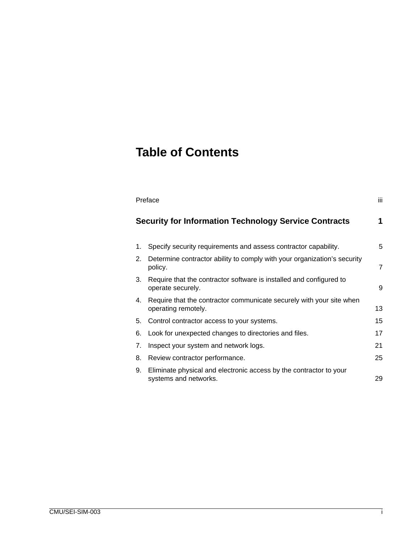### **Table of Contents**

| iii<br>Preface |                                                                                             |    |  |  |
|----------------|---------------------------------------------------------------------------------------------|----|--|--|
|                | <b>Security for Information Technology Service Contracts</b>                                | 1  |  |  |
| 1.             | Specify security requirements and assess contractor capability.                             | 5  |  |  |
| 2.             | Determine contractor ability to comply with your organization's security<br>policy.         | 7  |  |  |
| 3.             | Require that the contractor software is installed and configured to<br>operate securely.    | 9  |  |  |
| 4.             | Require that the contractor communicate securely with your site when<br>operating remotely. | 13 |  |  |
| 5.             | Control contractor access to your systems.                                                  | 15 |  |  |
| 6.             | Look for unexpected changes to directories and files.                                       | 17 |  |  |
| 7.             | Inspect your system and network logs.                                                       | 21 |  |  |
| 8.             | Review contractor performance.                                                              | 25 |  |  |
| 9.             | Eliminate physical and electronic access by the contractor to your<br>systems and networks. | 29 |  |  |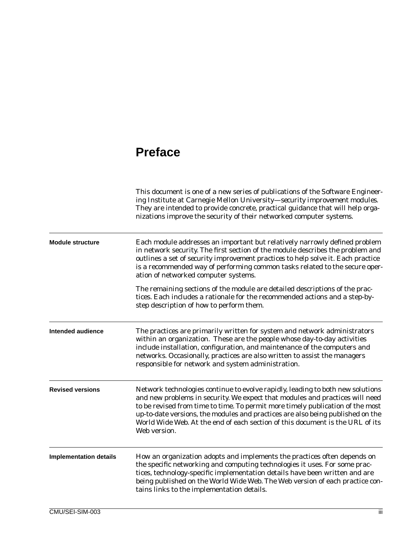### **Preface**

|                               | This document is one of a new series of publications of the Software Engineer-<br>ing Institute at Carnegie Mellon University-security improvement modules.<br>They are intended to provide concrete, practical guidance that will help orga-<br>nizations improve the security of their networked computer systems.                                                                                                                |
|-------------------------------|-------------------------------------------------------------------------------------------------------------------------------------------------------------------------------------------------------------------------------------------------------------------------------------------------------------------------------------------------------------------------------------------------------------------------------------|
| <b>Module structure</b>       | Each module addresses an important but relatively narrowly defined problem<br>in network security. The first section of the module describes the problem and<br>outlines a set of <i>security improvement practices</i> to help solve it. Each practice<br>is a recommended way of performing common tasks related to the secure oper-<br>ation of networked computer systems.                                                      |
|                               | The remaining sections of the module are detailed descriptions of the prac-<br>tices. Each includes a rationale for the recommended actions and a step-by-<br>step description of how to perform them.                                                                                                                                                                                                                              |
| <b>Intended audience</b>      | The practices are primarily written for system and network administrators<br>within an organization. These are the people whose day-to-day activities<br>include installation, configuration, and maintenance of the computers and<br>networks. Occasionally, practices are also written to assist the managers<br>responsible for network and system administration.                                                               |
| <b>Revised versions</b>       | Network technologies continue to evolve rapidly, leading to both new solutions<br>and new problems in security. We expect that modules and practices will need<br>to be revised from time to time. To permit more timely publication of the most<br>up-to-date versions, the modules and practices are also being published on the<br>World Wide Web. At the end of each section of this document is the URL of its<br>Web version. |
| <b>Implementation details</b> | How an organization adopts and implements the practices often depends on<br>the specific networking and computing technologies it uses. For some prac-<br>tices, technology-specific implementation details have been written and are<br>being published on the World Wide Web. The Web version of each practice con-<br>tains links to the implementation details.                                                                 |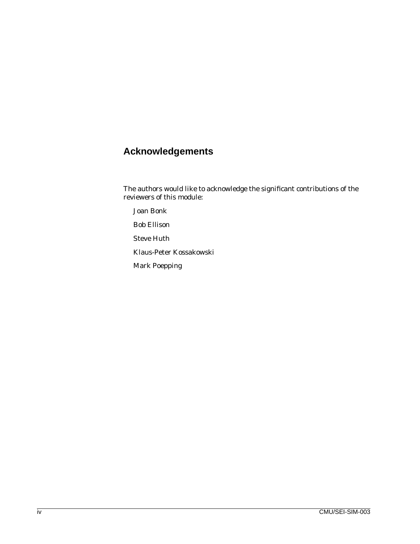### **Acknowledgements**

The authors would like to acknowledge the significant contributions of the reviewers of this module:

Joan Bonk

Bob Ellison

Steve Huth

Klaus-Peter Kossakowski

Mark Poepping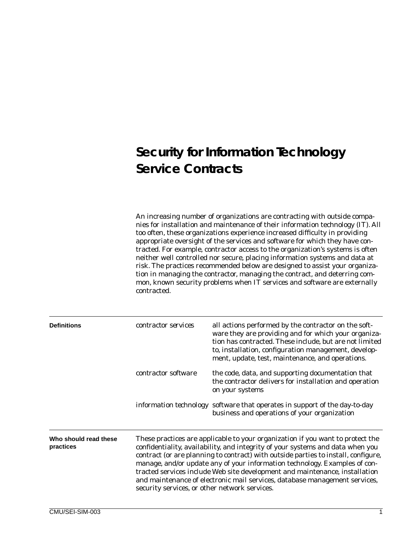### **Security for Information Technology Service Contracts**

An increasing number of organizations are contracting with outside companies for installation and maintenance of their information technology (IT). All too often, these organizations experience increased difficulty in providing appropriate oversight of the services and software for which they have contracted. For example, contractor access to the organization's systems is often neither well controlled nor secure, placing information systems and data at risk. The practices recommended below are designed to assist your organization in managing the contractor, managing the contract, and deterring common, known security problems when IT services and software are externally contracted.

| <b>Definitions</b>                 | contractor services                           | all actions performed by the contractor on the soft-<br>ware they are providing and for which your organiza-<br>tion has contracted. These include, but are not limited<br>to, installation, configuration management, develop-<br>ment, update, test, maintenance, and operations.                                                                                                                                                                                                               |
|------------------------------------|-----------------------------------------------|---------------------------------------------------------------------------------------------------------------------------------------------------------------------------------------------------------------------------------------------------------------------------------------------------------------------------------------------------------------------------------------------------------------------------------------------------------------------------------------------------|
|                                    | contractor software                           | the code, data, and supporting documentation that<br>the contractor delivers for installation and operation<br>on your systems                                                                                                                                                                                                                                                                                                                                                                    |
|                                    |                                               | <i>information technology</i> software that operates in support of the day-to-day<br>business and operations of your organization                                                                                                                                                                                                                                                                                                                                                                 |
| Who should read these<br>practices | security services, or other network services. | These practices are applicable to your organization if you want to protect the<br>confidentiality, availability, and integrity of your systems and data when you<br>contract (or are planning to contract) with outside parties to install, configure,<br>manage, and/or update any of your information technology. Examples of con-<br>tracted services include Web site development and maintenance, installation<br>and maintenance of electronic mail services, database management services, |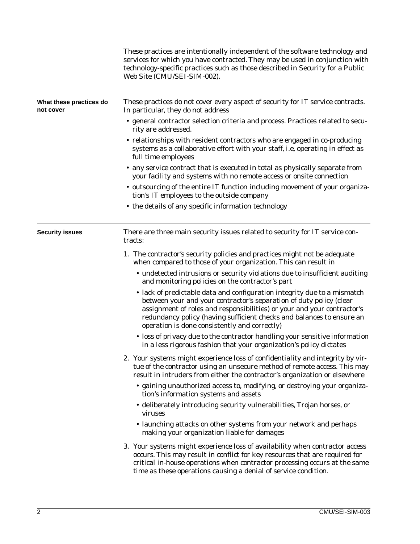|                                      | These practices are intentionally independent of the software technology and<br>services for which you have contracted. They may be used in conjunction with<br>technology-specific practices such as those described in Security for a Public<br>Web Site (CMU/SEI-SIM-002).                                                                        |
|--------------------------------------|------------------------------------------------------------------------------------------------------------------------------------------------------------------------------------------------------------------------------------------------------------------------------------------------------------------------------------------------------|
| What these practices do<br>not cover | These practices do not cover every aspect of security for IT service contracts.<br>In particular, they do not address                                                                                                                                                                                                                                |
|                                      | • general contractor selection criteria and process. Practices related to secu-<br>rity are addressed.                                                                                                                                                                                                                                               |
|                                      | • relationships with resident contractors who are engaged in co-producing<br>systems as a collaborative effort with your staff, i.e, operating in effect as<br>full time employees                                                                                                                                                                   |
|                                      | • any service contract that is executed in total as physically separate from<br>your facility and systems with no remote access or onsite connection                                                                                                                                                                                                 |
|                                      | • outsourcing of the entire IT function including movement of your organiza-<br>tion's IT employees to the outside company                                                                                                                                                                                                                           |
|                                      | • the details of any specific information technology                                                                                                                                                                                                                                                                                                 |
| <b>Security issues</b>               | There are three main security issues related to security for IT service con-<br>tracts:                                                                                                                                                                                                                                                              |
|                                      | 1. The contractor's security policies and practices might not be adequate<br>when compared to those of your organization. This can result in                                                                                                                                                                                                         |
|                                      | • undetected intrusions or security violations due to insufficient auditing<br>and monitoring policies on the contractor's part                                                                                                                                                                                                                      |
|                                      | • lack of predictable data and configuration integrity due to a mismatch<br>between your and your contractor's separation of duty policy (clear<br>assignment of roles and responsibilities) or your and your contractor's<br>redundancy policy (having sufficient checks and balances to ensure an<br>operation is done consistently and correctly) |
|                                      | • loss of privacy due to the contractor handling your sensitive information<br>in a less rigorous fashion that your organization's policy dictates                                                                                                                                                                                                   |
|                                      | 2. Your systems might experience loss of confidentiality and integrity by vir-<br>tue of the contractor using an unsecure method of remote access. This may<br>result in intruders from either the contractor's organization or elsewhere                                                                                                            |
|                                      | • gaining unauthorized access to, modifying, or destroying your organiza-<br>tion's information systems and assets                                                                                                                                                                                                                                   |
|                                      | • deliberately introducing security vulnerabilities, Trojan horses, or<br>viruses                                                                                                                                                                                                                                                                    |
|                                      | • launching attacks on other systems from your network and perhaps<br>making your organization liable for damages                                                                                                                                                                                                                                    |
|                                      | 3. Your systems might experience loss of availability when contractor access<br>occurs. This may result in conflict for key resources that are required for<br>critical in-house operations when contractor processing occurs at the same<br>time as these operations causing a denial of service condition.                                         |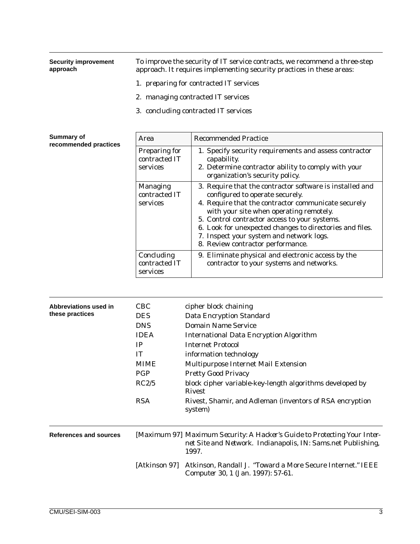| <b>Security improvement</b><br>approach | To improve the security of IT service contracts, we recommend a three-step<br>approach. It requires implementing security practices in these areas: |
|-----------------------------------------|-----------------------------------------------------------------------------------------------------------------------------------------------------|
|                                         | 1. <i>preparing</i> for contracted IT services                                                                                                      |
|                                         | 2. <i>managing</i> contracted IT services                                                                                                           |
|                                         | 3. <i>concluding</i> contracted IT services                                                                                                         |
|                                         |                                                                                                                                                     |

| <b>Summary of</b><br>recommended practices | Area                                         | <b>Recommended Practice</b>                                                                                                                                                                                                                                                                                                                                                                 |
|--------------------------------------------|----------------------------------------------|---------------------------------------------------------------------------------------------------------------------------------------------------------------------------------------------------------------------------------------------------------------------------------------------------------------------------------------------------------------------------------------------|
|                                            | Preparing for<br>contracted IT<br>services   | 1. Specify security requirements and assess contractor<br>capability.<br>2. Determine contractor ability to comply with your<br>organization's security policy.                                                                                                                                                                                                                             |
|                                            | <b>Managing</b><br>contracted IT<br>services | 3. Require that the contractor software is installed and<br>configured to operate securely.<br>4. Require that the contractor communicate securely<br>with your site when operating remotely.<br>5. Control contractor access to your systems.<br>6. Look for unexpected changes to directories and files.<br>7. Inspect your system and network logs.<br>8. Review contractor performance. |
|                                            | Concluding<br>contracted IT<br>services      | 9. Eliminate physical and electronic access by the<br>contractor to your systems and networks.                                                                                                                                                                                                                                                                                              |

| Abbreviations used in<br>these practices | <b>CBC</b><br><b>DES</b><br><b>DNS</b><br><b>IDEA</b><br>IP<br><b>IT</b><br><b>MIME</b><br><b>PGP</b><br>RC2/5<br><b>RSA</b> | cipher block chaining<br><b>Data Encryption Standard</b><br><b>Domain Name Service</b><br><b>International Data Encryption Algorithm</b><br><b>Internet Protocol</b><br>information technology<br><b>Multipurpose Internet Mail Extension</b><br><b>Pretty Good Privacy</b><br>block cipher variable-key-length algorithms developed by<br><b>Rivest</b><br>Rivest, Shamir, and Adleman (inventors of RSA encryption<br>system) |
|------------------------------------------|------------------------------------------------------------------------------------------------------------------------------|---------------------------------------------------------------------------------------------------------------------------------------------------------------------------------------------------------------------------------------------------------------------------------------------------------------------------------------------------------------------------------------------------------------------------------|
| References and sources                   |                                                                                                                              | [Maximum 97] Maximum Security: A Hacker's Guide to Protecting Your Inter-<br>net Site and Network. Indianapolis, IN: Sams.net Publishing,<br>1997.                                                                                                                                                                                                                                                                              |
|                                          | [Atkinson 97]                                                                                                                | Atkinson, Randall J. "Toward a More Secure Internet." IEEE<br>Computer 30, 1 (Jan. 1997): 57-61.                                                                                                                                                                                                                                                                                                                                |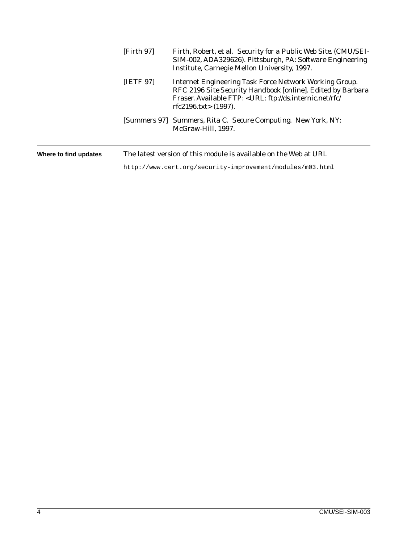|                       | [Firth 97] | Firth, Robert, et al. Security for a Public Web Site. (CMU/SEI-<br>SIM-002, ADA329626). Pittsburgh, PA: Software Engineering<br>Institute, Carnegie Mellon University, 1997.                                        |
|-----------------------|------------|---------------------------------------------------------------------------------------------------------------------------------------------------------------------------------------------------------------------|
|                       | [IETF 97]  | <b>Internet Engineering Task Force Network Working Group.</b><br>RFC 2196 Site Security Handbook [online]. Edited by Barbara<br>Fraser. Available FTP: < URL: ftp://ds.internic.net/rfc/<br>rfc2196.txt> $(1997)$ . |
|                       |            | [Summers 97] Summers, Rita C. Secure Computing. New York, NY:<br>McGraw-Hill, 1997.                                                                                                                                 |
| Where to find updates |            | The latest version of this module is available on the Web at URL                                                                                                                                                    |
|                       |            | http://www.cert.org/security-improvement/modules/m03.html                                                                                                                                                           |

4 CMU/SEI-SIM-003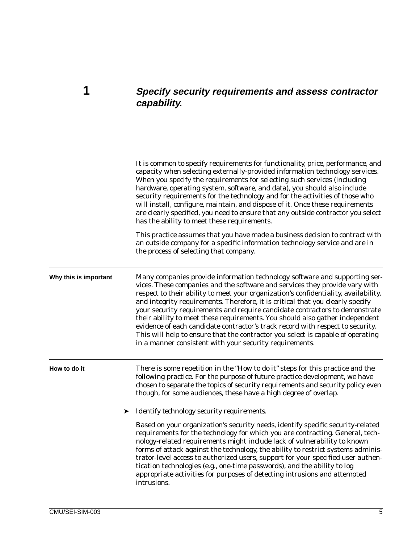### <span id="page-12-0"></span>**1 Specify security requirements and assess contractor capability.**

|                       | It is common to specify requirements for functionality, price, performance, and<br>capacity when selecting externally-provided information technology services.<br>When you specify the requirements for selecting such services (including<br>hardware, operating system, software, and data), you should also include<br>security requirements for the technology and for the activities of those who<br>will install, configure, maintain, and dispose of it. Once these requirements<br>are clearly specified, you need to ensure that any outside contractor you select<br>has the ability to meet these requirements.                                                                                                       |
|-----------------------|-----------------------------------------------------------------------------------------------------------------------------------------------------------------------------------------------------------------------------------------------------------------------------------------------------------------------------------------------------------------------------------------------------------------------------------------------------------------------------------------------------------------------------------------------------------------------------------------------------------------------------------------------------------------------------------------------------------------------------------|
|                       | This practice assumes that you have made a business decision to contract with<br>an outside company for a specific information technology service and are in<br>the process of selecting that company.                                                                                                                                                                                                                                                                                                                                                                                                                                                                                                                            |
| Why this is important | Many companies provide information technology software and supporting ser-<br>vices. These companies and the software and services they provide vary with<br>respect to their ability to meet your organization's confidentiality, availability,<br>and integrity requirements. Therefore, it is critical that you clearly specify<br>your security requirements and require candidate contractors to demonstrate<br>their ability to meet these requirements. You should also gather independent<br>evidence of each candidate contractor's track record with respect to security.<br>This will help to ensure that the contractor you select is capable of operating<br>in a manner consistent with your security requirements. |
| How to do it          | There is some repetition in the "How to do it" steps for this practice and the<br>following practice. For the purpose of future practice development, we have<br>chosen to separate the topics of security requirements and security policy even<br>though, for some audiences, these have a high degree of overlap.                                                                                                                                                                                                                                                                                                                                                                                                              |
|                       | Identify technology security requirements.<br>➤                                                                                                                                                                                                                                                                                                                                                                                                                                                                                                                                                                                                                                                                                   |
|                       | Based on your organization's security needs, identify specific security-related<br>requirements for the technology for which you are contracting. General, tech-<br>nology-related requirements might include lack of vulnerability to known<br>forms of attack against the technology, the ability to restrict systems adminis-<br>trator-level access to authorized users, support for your specified user authen-<br>tication technologies (e.g., one-time passwords), and the ability to log<br>appropriate activities for purposes of detecting intrusions and attempted<br>intrusions.                                                                                                                                      |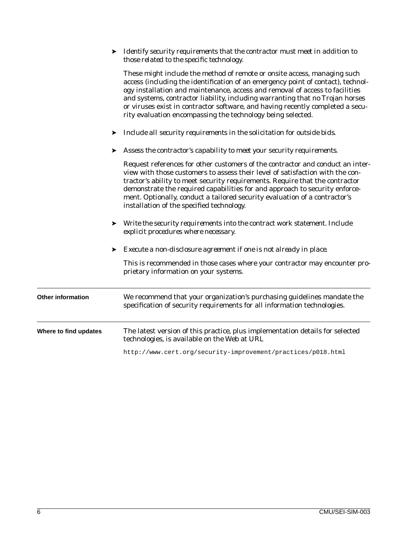➤ *Identify security requirements that the contractor must meet in addition to those related to the specific technology.*

|                       |   | These might include the method of remote or onsite access, managing such<br>access (including the identification of an emergency point of contact), technol-<br>ogy installation and maintenance, access and removal of access to facilities<br>and systems, contractor liability, including warranting that no Trojan horses<br>or viruses exist in contractor software, and having recently completed a secu-<br>rity evaluation encompassing the technology being selected. |
|-----------------------|---|--------------------------------------------------------------------------------------------------------------------------------------------------------------------------------------------------------------------------------------------------------------------------------------------------------------------------------------------------------------------------------------------------------------------------------------------------------------------------------|
|                       |   | Include all security requirements in the solicitation for outside bids.                                                                                                                                                                                                                                                                                                                                                                                                        |
|                       | ➤ | Assess the contractor's capability to meet your security requirements.                                                                                                                                                                                                                                                                                                                                                                                                         |
|                       |   | Request references for other customers of the contractor and conduct an inter-<br>view with those customers to assess their level of satisfaction with the con-<br>tractor's ability to meet security requirements. Require that the contractor<br>demonstrate the required capabilities for and approach to security enforce-<br>ment. Optionally, conduct a tailored security evaluation of a contractor's<br>installation of the specified technology.                      |
|                       | ➤ | Write the security requirements into the contract work statement. Include<br>explicit procedures where necessary.                                                                                                                                                                                                                                                                                                                                                              |
|                       | ➤ | Execute a non-disclosure agreement if one is not already in place.                                                                                                                                                                                                                                                                                                                                                                                                             |
|                       |   | This is recommended in those cases where your contractor may encounter pro-<br>prietary information on your systems.                                                                                                                                                                                                                                                                                                                                                           |
| Other information     |   | We recommend that your organization's purchasing guidelines mandate the<br>specification of security requirements for all information technologies.                                                                                                                                                                                                                                                                                                                            |
| Where to find updates |   | The latest version of this practice, plus implementation details for selected<br>technologies, is available on the Web at URL                                                                                                                                                                                                                                                                                                                                                  |
|                       |   | http://www.cert.org/security-improvement/practices/p018.html                                                                                                                                                                                                                                                                                                                                                                                                                   |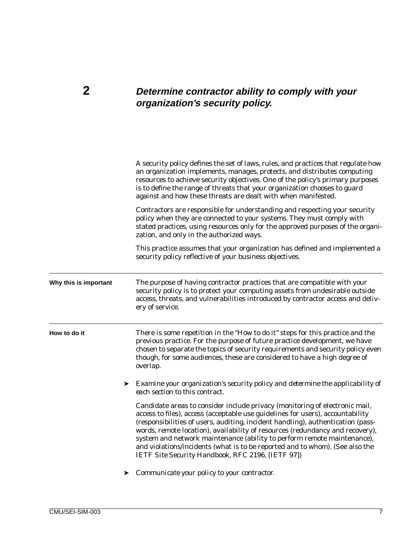### <span id="page-14-0"></span>**2 Determine contractor ability to comply with your organization's security policy.**

|                       | A security policy defines the set of laws, rules, and practices that regulate how<br>an organization implements, manages, protects, and distributes computing<br>resources to achieve security objectives. One of the policy's primary purposes<br>is to define the range of threats that your organization chooses to guard<br>against and how these threats are dealt with when manifested.                                                                                                                                                     |
|-----------------------|---------------------------------------------------------------------------------------------------------------------------------------------------------------------------------------------------------------------------------------------------------------------------------------------------------------------------------------------------------------------------------------------------------------------------------------------------------------------------------------------------------------------------------------------------|
|                       | Contractors are responsible for understanding and respecting your security<br>policy when they are connected to your systems. They must comply with<br>stated practices, using resources only for the approved purposes of the organi-<br>zation, and only in the authorized ways.                                                                                                                                                                                                                                                                |
|                       | This practice assumes that your organization has defined and implemented a<br>security policy reflective of your business objectives.                                                                                                                                                                                                                                                                                                                                                                                                             |
| Why this is important | The purpose of having contractor practices that are compatible with your<br>security policy is to protect your computing assets from undesirable outside<br>access, threats, and vulnerabilities introduced by contractor access and deliv-<br>ery of service.                                                                                                                                                                                                                                                                                    |
| How to do it          | There is some repetition in the "How to do it" steps for this practice and the<br>previous practice. For the purpose of future practice development, we have<br>chosen to separate the topics of security requirements and security policy even<br>though, for some audiences, these are considered to have a high degree of<br>overlap.                                                                                                                                                                                                          |
|                       | Examine your organization's security policy and determine the applicability of<br>each section to this contract.                                                                                                                                                                                                                                                                                                                                                                                                                                  |
|                       | Candidate areas to consider include privacy (monitoring of electronic mail,<br>access to files), access (acceptable use guidelines for users), accountability<br>(responsibilities of users, auditing, incident handling), authentication (pass-<br>words, remote location), availability of resources (redundancy and recovery),<br>system and network maintenance (ability to perform remote maintenance),<br>and violations/incidents (what is to be reported and to whom). (See also the<br>IETF Site Security Handbook, RFC 2196, [IETF 97]) |
|                       | ▶ Communicate your policy to your contractor.                                                                                                                                                                                                                                                                                                                                                                                                                                                                                                     |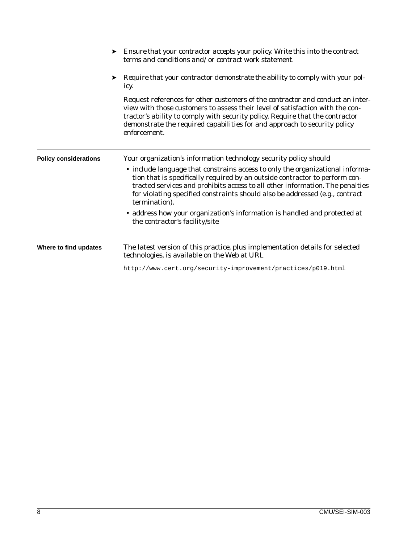|                              | Ensure that your contractor accepts your policy. Write this into the contract<br>terms and conditions and/or contract work statement.                                                                                                                                                                                                          |
|------------------------------|------------------------------------------------------------------------------------------------------------------------------------------------------------------------------------------------------------------------------------------------------------------------------------------------------------------------------------------------|
|                              | Require that your contractor demonstrate the ability to comply with your pol-<br>icy.                                                                                                                                                                                                                                                          |
|                              | Request references for other customers of the contractor and conduct an inter-<br>view with those customers to assess their level of satisfaction with the con-<br>tractor's ability to comply with security policy. Require that the contractor<br>demonstrate the required capabilities for and approach to security policy<br>enforcement.  |
| <b>Policy considerations</b> | Your organization's information technology security policy should                                                                                                                                                                                                                                                                              |
|                              | • include language that constrains access to only the organizational informa-<br>tion that is specifically required by an outside contractor to perform con-<br>tracted services and prohibits access to all other information. The penalties<br>for violating specified constraints should also be addressed (e.g., contract<br>termination). |
|                              | • address how your organization's information is handled and protected at<br>the contractor's facility/site                                                                                                                                                                                                                                    |
| Where to find updates        | The latest version of this practice, plus implementation details for selected<br>technologies, is available on the Web at URL                                                                                                                                                                                                                  |
|                              | http://www.cert.org/security-improvement/practices/p019.html                                                                                                                                                                                                                                                                                   |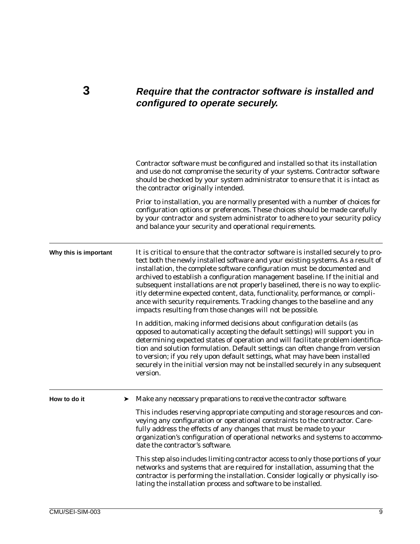### <span id="page-16-0"></span>**3 Require that the contractor software is installed and configured to operate securely.**

Contractor software must be configured and installed so that its installation and use do not compromise the security of your systems. Contractor software should be checked by your system administrator to ensure that it is intact as the contractor originally intended. Prior to installation, you are normally presented with a number of choices for configuration options or preferences. These choices should be made carefully by your contractor and system administrator to adhere to your security policy and balance your security and operational requirements. **Why this is important** It is critical to ensure that the contractor software is installed securely to protect both the newly installed software and your existing systems. As a result of installation, the complete software configuration must be documented and archived to establish a configuration management baseline. If the initial and subsequent installations are not properly baselined, there is no way to explicitly determine expected content, data, functionality, performance, or compliance with security requirements. Tracking changes to the baseline and any impacts resulting from those changes will not be possible. In addition, making informed decisions about configuration details (as opposed to automatically accepting the default settings) will support you in determining expected states of operation and will facilitate problem identification and solution formulation. Default settings can often change from version to version; if you rely upon default settings, what may have been installed securely in the initial version may not be installed securely in any subsequent version. **How to do it** ➤ *Make any necessary preparations to receive the contractor software.* This includes reserving appropriate computing and storage resources and conveying any configuration or operational constraints to the contractor. Carefully address the effects of any changes that must be made to your organization's configuration of operational networks and systems to accommodate the contractor's software. This step also includes limiting contractor access to only those portions of your networks and systems that are required for installation, assuming that the contractor is performing the installation. Consider logically or physically isolating the installation process and software to be installed.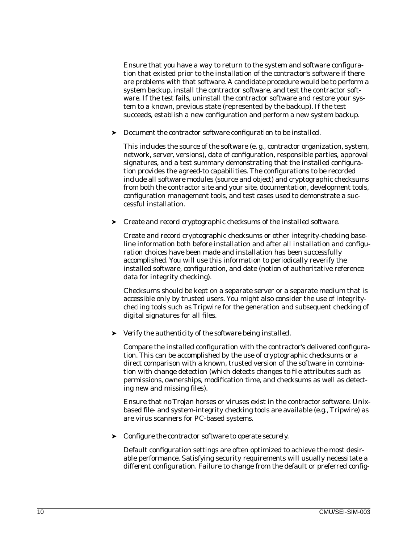Ensure that you have a way to return to the system and software configuration that existed prior to the installation of the contractor's software if there are problems with that software. A candidate procedure would be to perform a system backup, install the contractor software, and test the contractor software. If the test fails, uninstall the contractor software and restore your system to a known, previous state (represented by the backup). If the test succeeds, establish a new configuration and perform a new system backup.

#### ➤ *Document the contractor software configuration to be installed.*

This includes the source of the software (e. g., contractor organization, system, network, server, versions), date of configuration, responsible parties, approval signatures, and a test summary demonstrating that the installed configuration provides the agreed-to capabilities. The configurations to be recorded include all software modules (source and object) and cryptographic checksums from both the contractor site and your site, documentation, development tools, configuration management tools, and test cases used to demonstrate a successful installation.

#### ➤ *Create and record cryptographic checksums of the installed software.*

Create and record cryptographic checksums or other integrity-checking baseline information both before installation and after all installation and configuration choices have been made and installation has been successfully accomplished. You will use this information to periodically reverify the installed software, configuration, and date (notion of authoritative reference data for integrity checking).

Checksums should be kept on a separate server or a separate medium that is accessible only by trusted users. You might also consider the use of integritycheciing tools such as Tripwire for the generation and subsequent checking of digital signatures for all files.

#### ➤ *Verify the authenticity of the software being installed.*

Compare the installed configuration with the contractor's delivered configuration. This can be accomplished by the use of cryptographic checksums or a direct comparison with a known, trusted version of the software in combination with change detection (which detects changes to file attributes such as permissions, ownerships, modification time, and checksums as well as detecting new and missing files).

Ensure that no Trojan horses or viruses exist in the contractor software. Unixbased file- and system-integrity checking tools are available (e.g., Tripwire) as are virus scanners for PC-based systems.

#### ➤ *Configure the contractor software to operate securely.*

Default configuration settings are often optimized to achieve the most desirable performance. Satisfying security requirements will usually necessitate a different configuration. Failure to change from the default or preferred config-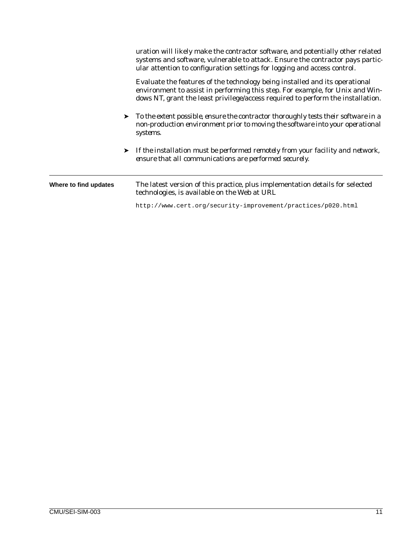|                       | uration will likely make the contractor software, and potentially other related<br>systems and software, vulnerable to attack. Ensure the contractor pays partic-<br>ular attention to configuration settings for logging and access control.   |
|-----------------------|-------------------------------------------------------------------------------------------------------------------------------------------------------------------------------------------------------------------------------------------------|
|                       | Evaluate the features of the technology being installed and its operational<br>environment to assist in performing this step. For example, for Unix and Win-<br>dows NT, grant the least privilege/access required to perform the installation. |
|                       | $\triangleright$ To the extent possible, ensure the contractor thoroughly tests their software in a<br>non-production environment prior to moving the software into your operational<br>systems.                                                |
|                       | If the installation must be performed remotely from your facility and network,<br>ensure that all communications are performed securely.                                                                                                        |
| Where to find updates | The latest version of this practice, plus implementation details for selected<br>technologies, is available on the Web at URL                                                                                                                   |
|                       | http://www.cert.org/security-improvement/practices/p020.html                                                                                                                                                                                    |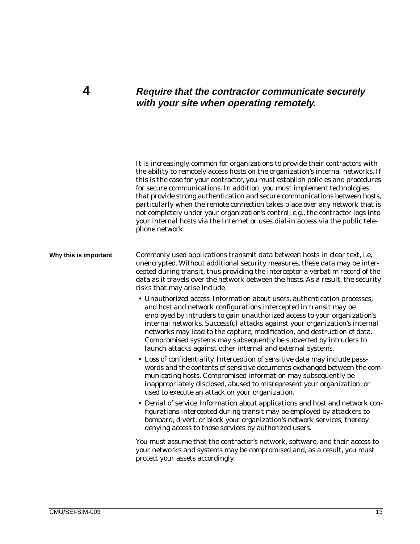### <span id="page-20-0"></span>**4 Require that the contractor communicate securely with your site when operating remotely.**

|                       | It is increasingly common for organizations to provide their contractors with<br>the ability to remotely access hosts on the organization's internal networks. If<br>this is the case for your contractor, you must establish policies and procedures<br>for secure communications. In addition, you must implement technologies<br>that provide strong authentication and secure communications between hosts,<br>particularly when the remote connection takes place over any network that is<br>not completely under your organization's control, e.g., the contractor logs into<br>your internal hosts via the Internet or uses dial-in access via the public tele-<br>phone network. |
|-----------------------|-------------------------------------------------------------------------------------------------------------------------------------------------------------------------------------------------------------------------------------------------------------------------------------------------------------------------------------------------------------------------------------------------------------------------------------------------------------------------------------------------------------------------------------------------------------------------------------------------------------------------------------------------------------------------------------------|
| Why this is important | Commonly used applications transmit data between hosts in clear text, i.e.<br>unencrypted. Without additional security measures, these data may be inter-<br>cepted during transit, thus providing the interceptor a verbatim record of the<br>data as it travels over the network between the hosts. As a result, the security<br>risks that may arise include                                                                                                                                                                                                                                                                                                                           |
|                       | • Unauthorized access. Information about users, authentication processes,<br>and host and network configurations intercepted in transit may be<br>employed by intruders to gain unauthorized access to your organization's<br>internal networks. Successful attacks against your organization's internal<br>networks may lead to the capture, modification, and destruction of data.<br>Compromised systems may subsequently be subverted by intruders to<br>launch attacks against other internal and external systems.                                                                                                                                                                  |
|                       | • Loss of confidentiality. Interception of sensitive data may include pass-<br>words and the contents of sensitive documents exchanged between the com-<br>municating hosts. Compromised information may subsequently be<br>inappropriately disclosed, abused to misrepresent your organization, or<br>used to execute an attack on your organization.                                                                                                                                                                                                                                                                                                                                    |
|                       | • Denial of service. Information about applications and host and network con-<br>figurations intercepted during transit may be employed by attackers to<br>bombard, divert, or block your organization's network services, thereby<br>denying access to those services by authorized users.                                                                                                                                                                                                                                                                                                                                                                                               |
|                       | You must assume that the contractor's network, software, and their access to<br>your networks and systems may be compromised and, as a result, you must<br>protect your assets accordingly.                                                                                                                                                                                                                                                                                                                                                                                                                                                                                               |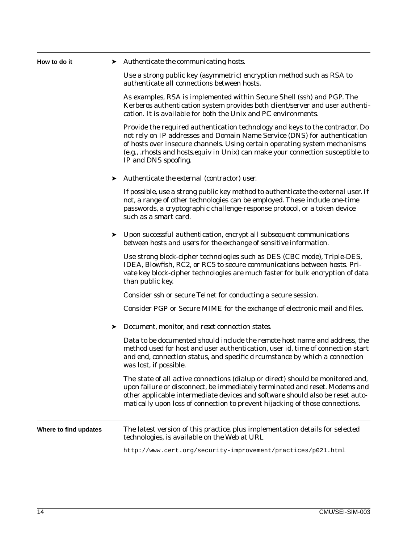| How to do it          | $\blacktriangleright$ Authenticate the communicating hosts.                                                                                                                                                                                                                                                                                         |
|-----------------------|-----------------------------------------------------------------------------------------------------------------------------------------------------------------------------------------------------------------------------------------------------------------------------------------------------------------------------------------------------|
|                       | Use a strong public key (asymmetric) encryption method such as RSA to<br>authenticate all connections between hosts.                                                                                                                                                                                                                                |
|                       | As examples, RSA is implemented within Secure Shell (ssh) and PGP. The<br>Kerberos authentication system provides both client/server and user authenti-<br>cation. It is available for both the Unix and PC environments.                                                                                                                           |
|                       | Provide the required authentication technology and keys to the contractor. Do<br>not rely on IP addresses and Domain Name Service (DNS) for authentication<br>of hosts over insecure channels. Using certain operating system mechanisms<br>(e.g., .rhosts and hosts.equiv in Unix) can make your connection susceptible to<br>IP and DNS spoofing. |
|                       | $\blacktriangleright$ Authenticate the external (contractor) user.                                                                                                                                                                                                                                                                                  |
|                       | If possible, use a strong public key method to authenticate the external user. If<br>not, a range of other technologies can be employed. These include one-time<br>passwords, a cryptographic challenge-response protocol, or a token device<br>such as a smart card.                                                                               |
|                       | $\triangleright$ Upon successful authentication, encrypt all subsequent communications<br>between hosts and users for the exchange of sensitive information.                                                                                                                                                                                        |
|                       | Use strong block-cipher technologies such as DES (CBC mode), Triple-DES,<br>IDEA, Blowfish, RC2, or RC5 to secure communications between hosts. Pri-<br>vate key block-cipher technologies are much faster for bulk encryption of data<br>than public key.                                                                                          |
|                       | Consider ssh or secure Telnet for conducting a secure session.                                                                                                                                                                                                                                                                                      |
|                       | Consider PGP or Secure MIME for the exchange of electronic mail and files.                                                                                                                                                                                                                                                                          |
|                       | Document, monitor, and reset connection states.                                                                                                                                                                                                                                                                                                     |
|                       | Data to be documented should include the remote host name and address, the<br>method used for host and user authentication, user id, time of connection start<br>and end, connection status, and specific circumstance by which a connection<br>was lost, if possible.                                                                              |
|                       | The state of all active connections (dialup or direct) should be monitored and,<br>upon failure or disconnect, be immediately terminated and reset. Modems and<br>other applicable intermediate devices and software should also be reset auto-<br>matically upon loss of connection to prevent hijacking of those connections.                     |
| Where to find updates | The latest version of this practice, plus implementation details for selected<br>technologies, is available on the Web at URL                                                                                                                                                                                                                       |
|                       | http://www.cert.org/security-improvement/practices/p021.html                                                                                                                                                                                                                                                                                        |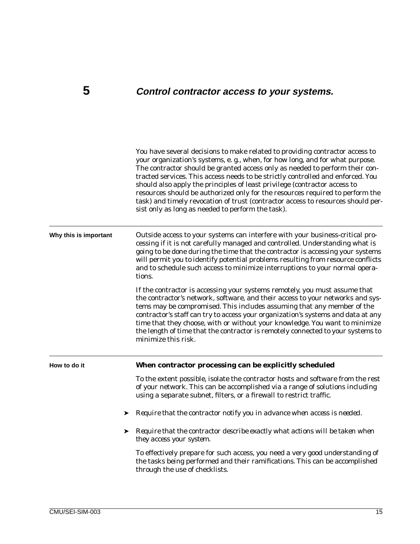## <span id="page-22-0"></span>**5 Control contractor access to your systems.**

|                       | You have several decisions to make related to providing contractor access to<br>your organization's systems, e. g., when, for how long, and for what purpose.<br>The contractor should be granted access only as needed to perform their con-<br>tracted services. This access needs to be strictly controlled and enforced. You<br>should also apply the principles of least privilege (contractor access to<br>resources should be authorized only for the resources required to perform the<br>task) and timely revocation of trust (contractor access to resources should per-<br>sist only as long as needed to perform the task). |
|-----------------------|-----------------------------------------------------------------------------------------------------------------------------------------------------------------------------------------------------------------------------------------------------------------------------------------------------------------------------------------------------------------------------------------------------------------------------------------------------------------------------------------------------------------------------------------------------------------------------------------------------------------------------------------|
| Why this is important | Outside access to your systems can interfere with your business-critical pro-<br>cessing if it is not carefully managed and controlled. Understanding what is<br>going to be done during the time that the contractor is accessing your systems<br>will permit you to identify potential problems resulting from resource conflicts<br>and to schedule such access to minimize interruptions to your normal opera-<br>tions.                                                                                                                                                                                                            |
|                       | If the contractor is accessing your systems remotely, you must assume that<br>the contractor's network, software, and their access to your networks and sys-<br>tems may be compromised. This includes assuming that any member of the<br>contractor's staff can try to access your organization's systems and data at any<br>time that they choose, with or without your knowledge. You want to minimize<br>the length of time that the contractor is remotely connected to your systems to<br>minimize this risk.                                                                                                                     |
| How to do it          | When contractor processing can be explicitly scheduled                                                                                                                                                                                                                                                                                                                                                                                                                                                                                                                                                                                  |
|                       | To the extent possible, isolate the contractor hosts and software from the rest<br>of your network. This can be accomplished via a range of solutions including<br>using a separate subnet, filters, or a firewall to restrict traffic.                                                                                                                                                                                                                                                                                                                                                                                                 |
| ➤                     | Require that the contractor notify you in advance when access is needed.                                                                                                                                                                                                                                                                                                                                                                                                                                                                                                                                                                |
| ➤                     | Require that the contractor describe exactly what actions will be taken when<br>they access your system.                                                                                                                                                                                                                                                                                                                                                                                                                                                                                                                                |
|                       | To effectively prepare for such access, you need a very good understanding of<br>the tasks being performed and their ramifications. This can be accomplished<br>through the use of checklists.                                                                                                                                                                                                                                                                                                                                                                                                                                          |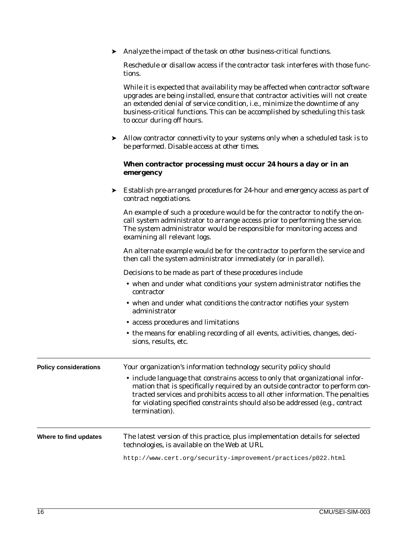➤ *Analyze the impact of the task on other business-critical functions.*

Reschedule or disallow access if the contractor task interferes with those functions.

While it is expected that availability may be affected when contractor software upgrades are being installed, ensure that contractor activities will not create an extended denial of service condition, i.e., minimize the downtime of any business-critical functions. This can be accomplished by scheduling this task to occur during off hours.

➤ *Allow contractor connectivity to your systems only when a scheduled task is to be performed. Disable access at other times.*

#### **When contractor processing must occur 24 hours a day or in an emergency**

➤ *Establish pre-arranged procedures for 24-hour and emergency access as part of contract negotiations.*

An example of such a procedure would be for the contractor to notify the oncall system administrator to arrange access prior to performing the service. The system administrator would be responsible for monitoring access and examining all relevant logs.

An alternate example would be for the contractor to perform the service and then call the system administrator immediately (or in parallel).

Decisions to be made as part of these procedures include

- when and under what conditions your system administrator notifies the contractor
- when and under what conditions the contractor notifies your system administrator
- access procedures and limitations
- the means for enabling recording of all events, activities, changes, decisions, results, etc.

| <b>Policy considerations</b> | Your organization's information technology security policy should<br>• include language that constrains access to only that organizational infor-<br>mation that is specifically required by an outside contractor to perform con-<br>tracted services and prohibits access to all other information. The penalties<br>for violating specified constraints should also be addressed (e.g., contract<br>termination). |
|------------------------------|----------------------------------------------------------------------------------------------------------------------------------------------------------------------------------------------------------------------------------------------------------------------------------------------------------------------------------------------------------------------------------------------------------------------|
| Where to find updates        | The latest version of this practice, plus implementation details for selected<br>technologies, is available on the Web at URL                                                                                                                                                                                                                                                                                        |
|                              | http://www.cert.org/security-improvement/practices/p022.html                                                                                                                                                                                                                                                                                                                                                         |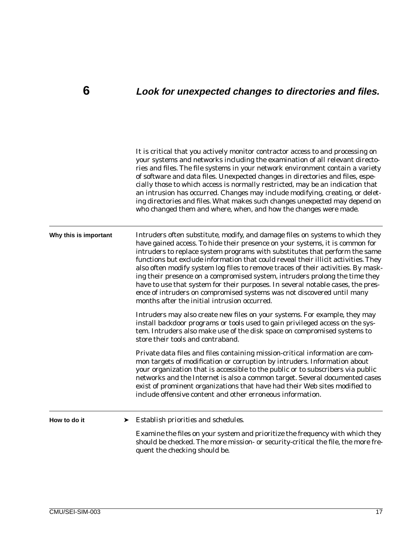### <span id="page-24-0"></span>**6 Look for unexpected changes to directories and files.**

should be checked. The more mission- or security-critical the file, the more fre-

It is critical that you actively monitor contractor access to and processing on your systems and networks including the examination of all relevant directories and files. The file systems in your network environment contain a variety of software and data files. Unexpected changes in directories and files, especially those to which access is normally restricted, may be an indication that an intrusion has occurred. Changes may include modifying, creating, or deleting directories and files. What makes such changes *unexpected* may depend on who changed them and where, when, and how the changes were made. **Why this is important** Intruders often substitute, modify, and damage files on systems to which they have gained access. To hide their presence on your systems, it is common for intruders to replace system programs with substitutes that perform the same functions but exclude information that could reveal their illicit activities. They also often modify system log files to remove traces of their activities. By masking their presence on a compromised system, intruders prolong the time they have to use that system for their purposes. In several notable cases, the presence of intruders on compromised systems was not discovered until many months after the initial intrusion occurred. Intruders may also create new files on your systems. For example, they may install *backdoor* programs or tools used to gain privileged access on the system. Intruders also make use of the disk space on compromised systems to store their tools and contraband. Private data files and files containing mission-critical information are common targets of modification or corruption by intruders. Information about your organization that is accessible to the public or to subscribers via public networks and the Internet is also a common target. Several documented cases exist of prominent organizations that have had their Web sites modified to include offensive content and other erroneous information. How to do it → *Establish priorities and schedules.* Examine the files on your system and prioritize the frequency with which they

quent the checking should be.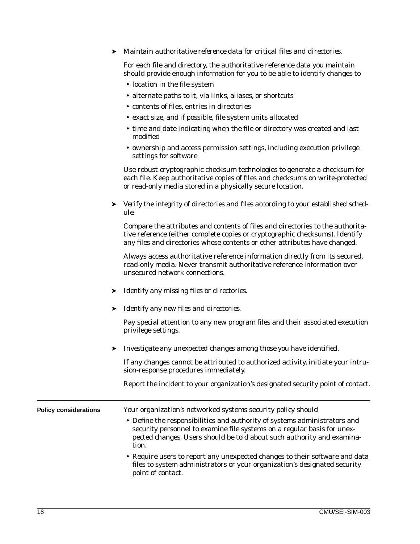#### ➤ *Maintain authoritative reference data for critical files and directories.*

For each file and directory, the authoritative reference data you maintain should provide enough information for you to be able to identify changes to

- location in the file system
- alternate paths to it, via links, aliases, or shortcuts
- contents of files, entries in directories
- exact size, and if possible, file system units allocated
- time and date indicating when the file or directory was created and last modified
- ownership and access permission settings, including execution privilege settings for software

Use robust cryptographic checksum technologies to generate a checksum for each file. Keep authoritative copies of files and checksums on write-protected or read-only media stored in a physically secure location.

➤ *Verify the integrity of directories and files according to your established schedule.*

Compare the attributes and contents of files and directories to the authoritative reference (either complete copies or cryptographic checksums). Identify any files and directories whose contents or other attributes have changed.

Always access authoritative reference information directly from its secured, read-only media. Never transmit authoritative reference information over unsecured network connections.

- ➤ *Identify any missing files or directories.*
- ➤ *Identify any new files and directories.*

Pay special attention to any new program files and their associated execution privilege settings.

➤ *Investigate any unexpected changes among those you have identified.*

If any changes cannot be attributed to authorized activity, initiate your intrusion-response procedures immediately.

Report the incident to your organization's designated security point of contact.

| <b>Policy considerations</b> | Your organization's networked systems security policy should                                                                                                                                                                            |
|------------------------------|-----------------------------------------------------------------------------------------------------------------------------------------------------------------------------------------------------------------------------------------|
|                              | • Define the responsibilities and authority of systems administrators and<br>security personnel to examine file systems on a regular basis for unex-<br>pected changes. Users should be told about such authority and examina-<br>tion. |
|                              | • Require users to report any unexpected changes to their software and data<br>files to system administrators or your organization's designated security<br>point of contact.                                                           |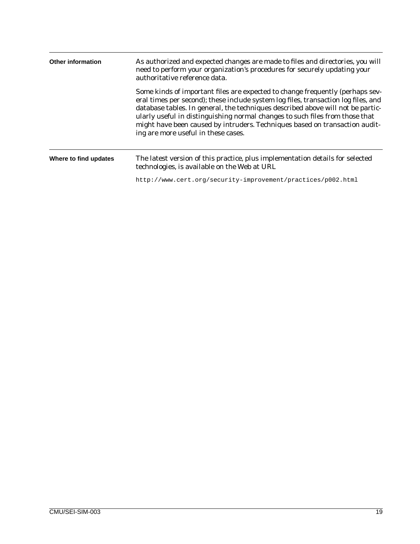| <b>Other information</b> | As authorized and expected changes are made to files and directories, you will<br>need to perform your organization's procedures for securely updating your<br>authoritative reference data.                                                                                                                                                                                                                                                                 |  |
|--------------------------|--------------------------------------------------------------------------------------------------------------------------------------------------------------------------------------------------------------------------------------------------------------------------------------------------------------------------------------------------------------------------------------------------------------------------------------------------------------|--|
|                          | Some kinds of important files are expected to change frequently (perhaps sev-<br>eral times per second); these include system log files, transaction log files, and<br>database tables. In general, the techniques described above will not be partic-<br>ularly useful in distinguishing normal changes to such files from those that<br>might have been caused by intruders. Techniques based on transaction audit-<br>ing are more useful in these cases. |  |
| Where to find updates    | The latest version of this practice, plus implementation details for selected<br>technologies, is available on the Web at URL                                                                                                                                                                                                                                                                                                                                |  |
|                          | http://www.cert.org/security-improvement/practices/p002.html                                                                                                                                                                                                                                                                                                                                                                                                 |  |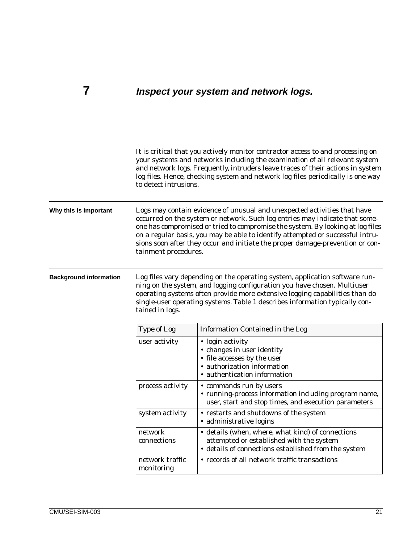## <span id="page-28-0"></span>**7 Inspect your system and network logs.**

|                               | to detect intrusions.         | It is critical that you actively monitor contractor access to and processing on<br>your systems and networks including the examination of all relevant system<br>and network logs. Frequently, intruders leave traces of their actions in system<br>log files. Hence, checking system and network log files periodically is one way                                                                          |
|-------------------------------|-------------------------------|--------------------------------------------------------------------------------------------------------------------------------------------------------------------------------------------------------------------------------------------------------------------------------------------------------------------------------------------------------------------------------------------------------------|
| Why this is important         | tainment procedures.          | Logs may contain evidence of unusual and unexpected activities that have<br>occurred on the system or network. Such log entries may indicate that some-<br>one has compromised or tried to compromise the system. By looking at log files<br>on a regular basis, you may be able to identify attempted or successful intru-<br>sions soon after they occur and initiate the proper damage-prevention or con- |
| <b>Background information</b> | tained in logs.               | Log files vary depending on the operating system, application software run-<br>ning on the system, and logging configuration you have chosen. Multiuser<br>operating systems often provide more extensive logging capabilities than do<br>single-user operating systems. Table 1 describes information typically con-                                                                                        |
|                               | <b>Type of Log</b>            | <b>Information Contained in the Log</b>                                                                                                                                                                                                                                                                                                                                                                      |
|                               | user activity                 | • login activity<br>• changes in user identity<br>• file accesses by the user<br>· authorization information<br>• authentication information                                                                                                                                                                                                                                                                 |
|                               | process activity              | • commands run by users<br>• running-process information including program name,<br>user, start and stop times, and execution parameters                                                                                                                                                                                                                                                                     |
|                               | system activity               | • restarts and shutdowns of the system<br>· administrative logins                                                                                                                                                                                                                                                                                                                                            |
|                               | network<br>connections        | • details (when, where, what kind) of connections<br>attempted or established with the system<br>• details of connections established from the system                                                                                                                                                                                                                                                        |
|                               | network traffic<br>monitoring | • records of all network traffic transactions                                                                                                                                                                                                                                                                                                                                                                |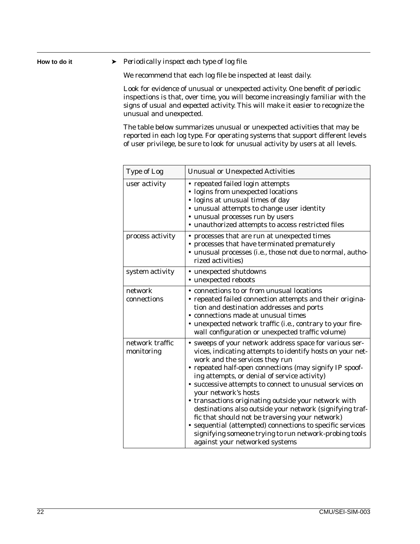How to do it ► *Periodically inspect each type of log file.* 

We recommend that each log file be inspected at least daily.

Look for evidence of unusual or unexpected activity. One benefit of periodic inspections is that, over time, you will become increasingly familiar with the signs of *usual* and *expected* activity. This will make it easier to recognize the unusual and unexpected.

The table below summarizes unusual or unexpected activities that may be reported in each log type. For operating systems that support different levels of user privilege, be sure to look for unusual activity by users at all levels.

| <b>Type of Log</b>            | <b>Unusual or Unexpected Activities</b>                                                                                                                                                                                                                                                                                                                                                                                                                                                                                                                                                                                                                                              |
|-------------------------------|--------------------------------------------------------------------------------------------------------------------------------------------------------------------------------------------------------------------------------------------------------------------------------------------------------------------------------------------------------------------------------------------------------------------------------------------------------------------------------------------------------------------------------------------------------------------------------------------------------------------------------------------------------------------------------------|
| user activity                 | • repeated failed login attempts<br>• logins from unexpected locations<br>· logins at unusual times of day<br>· unusual attempts to change user identity<br>• unusual processes run by users<br>• unauthorized attempts to access restricted files                                                                                                                                                                                                                                                                                                                                                                                                                                   |
| process activity              | • processes that are run at unexpected times<br>• processes that have terminated prematurely<br>· unusual processes (i.e., those not due to normal, autho-<br>rized activities)                                                                                                                                                                                                                                                                                                                                                                                                                                                                                                      |
| system activity               | • unexpected shutdowns<br>• unexpected reboots                                                                                                                                                                                                                                                                                                                                                                                                                                                                                                                                                                                                                                       |
| network<br>connections        | • connections to or from unusual locations<br>• repeated failed connection attempts and their origina-<br>tion and destination addresses and ports<br>• connections made at unusual times<br>• unexpected network traffic (i.e., contrary to your fire-<br>wall configuration or unexpected traffic volume)                                                                                                                                                                                                                                                                                                                                                                          |
| network traffic<br>monitoring | • sweeps of your network address space for various ser-<br>vices, indicating attempts to identify hosts on your net-<br>work and the services they run<br>• repeated half-open connections (may signify IP spoof-<br>ing attempts, or denial of service activity)<br>• successive attempts to connect to unusual services on<br>your network's hosts<br>• transactions originating outside your network with<br>destinations also outside your network (signifying traf-<br>fic that should not be traversing your network)<br>• sequential (attempted) connections to specific services<br>signifying someone trying to run network-probing tools<br>against your networked systems |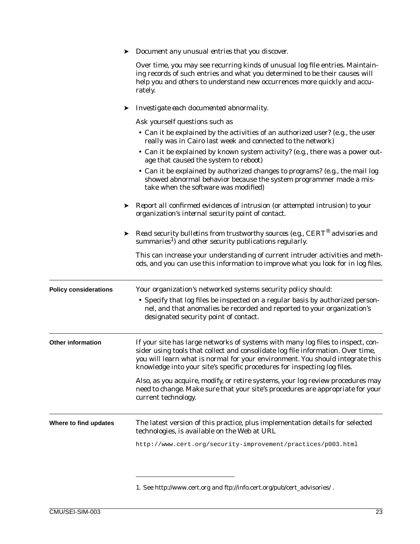|                              |   | Document any unusual entries that you discover.                                                                                                                                                                                                                                                                                 |
|------------------------------|---|---------------------------------------------------------------------------------------------------------------------------------------------------------------------------------------------------------------------------------------------------------------------------------------------------------------------------------|
|                              |   | Over time, you may see recurring kinds of unusual log file entries. Maintain-<br>ing records of such entries and what you determined to be their causes will<br>help you and others to understand new occurrences more quickly and accu-<br>rately.                                                                             |
|                              | ➤ | Investigate each documented abnormality.                                                                                                                                                                                                                                                                                        |
|                              |   | Ask yourself questions such as                                                                                                                                                                                                                                                                                                  |
|                              |   | • Can it be explained by the activities of an authorized user? (e.g., the user<br>really was in Cairo last week and connected to the network)                                                                                                                                                                                   |
|                              |   | • Can it be explained by known system activity? (e.g., there was a power out-<br>age that caused the system to reboot)                                                                                                                                                                                                          |
|                              |   | • Can it be explained by authorized changes to programs? (e.g., the mail log<br>showed abnormal behavior because the system programmer made a mis-<br>take when the software was modified)                                                                                                                                      |
|                              |   | Example 1 Report all confirmed evidences of intrusion (or attempted intrusion) to your<br>organization's internal security point of contact.                                                                                                                                                                                    |
|                              | ➤ | Read security bulletins from trustworthy sources (e.g., $CERT^{\otimes}$ advisories and<br>summaries <sup>1</sup> ) and other security publications regularly.                                                                                                                                                                  |
|                              |   | This can increase your understanding of current intruder activities and meth-<br>ods, and you can use this information to improve what you look for in log files.                                                                                                                                                               |
| <b>Policy considerations</b> |   | Your organization's networked systems security policy should:                                                                                                                                                                                                                                                                   |
|                              |   | • Specify that log files be inspected on a regular basis by authorized person-<br>nel, and that anomalies be recorded and reported to your organization's<br>designated security point of contact.                                                                                                                              |
| <b>Other information</b>     |   | If your site has large networks of systems with many log files to inspect, con-<br>sider using tools that collect and consolidate log file information. Over time,<br>you will learn what is normal for your environment. You should integrate this<br>knowledge into your site's specific procedures for inspecting log files. |
|                              |   | Also, as you acquire, modify, or retire systems, your log review procedures may<br>need to change. Make sure that your site's procedures are appropriate for your<br>current technology.                                                                                                                                        |
| Where to find updates        |   | The latest version of this practice, plus implementation details for selected<br>technologies, is available on the Web at URL                                                                                                                                                                                                   |
|                              |   | http://www.cert.org/security-improvement/practices/p003.html                                                                                                                                                                                                                                                                    |
|                              |   |                                                                                                                                                                                                                                                                                                                                 |

1. See http://www.cert.org and ftp://info.cert.org/pub/cert\_advisories/ .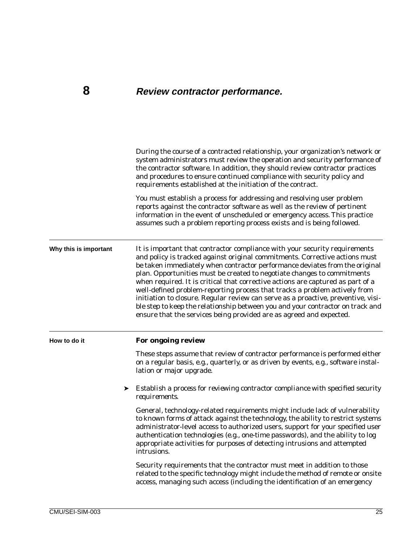### <span id="page-32-0"></span>**8 Review contractor performance.**

During the course of a contracted relationship, your organization's network or system administrators must review the operation and security performance of the contractor software. In addition, they should review contractor practices and procedures to ensure continued compliance with security policy and requirements established at the initiation of the contract. You must establish a process for addressing and resolving user problem reports against the contractor software as well as the review of pertinent information in the event of unscheduled or emergency access. This practice assumes such a problem reporting process exists and is being followed. **Why this is important** It is important that contractor compliance with your security requirements and policy is tracked against original commitments. Corrective actions must be taken immediately when contractor performance deviates from the original plan. Opportunities must be created to negotiate changes to commitments when required. It is critical that corrective actions are captured as part of a well-defined problem-reporting process that tracks a problem actively from initiation to closure. Regular review can serve as a proactive, preventive, visible step to keep the relationship between you and your contractor on track and ensure that the services being provided are as agreed and expected.

**How to do it For ongoing review**

These steps assume that review of contractor performance is performed either on a regular basis, e.g., quarterly, or as driven by events, e.g., software installation or major upgrade.

➤ *Establish a process for reviewing contractor compliance with specified security requirements.*

General, technology-related requirements might include lack of vulnerability to known forms of attack against the technology, the ability to restrict systems administrator-level access to authorized users, support for your specified user authentication technologies (e.g., one-time passwords), and the ability to log appropriate activities for purposes of detecting intrusions and attempted intrusions.

Security requirements that the contractor must meet in addition to those related to the specific technology might include the method of remote or onsite access, managing such access (including the identification of an emergency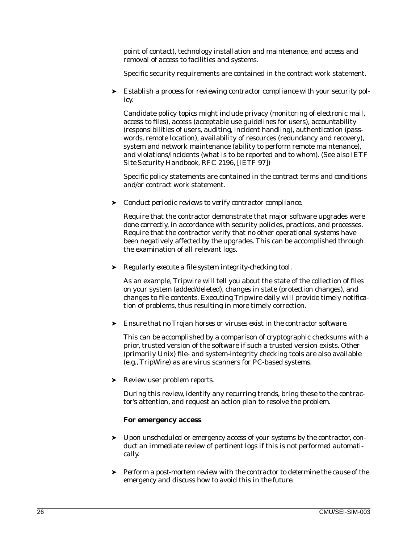point of contact), technology installation and maintenance, and access and removal of access to facilities and systems.

Specific security requirements are contained in the contract work statement.

➤ *Establish a process for reviewing contractor compliance with your security policy.*

Candidate policy topics might include privacy (monitoring of electronic mail, access to files), access (acceptable use guidelines for users), accountability (responsibilities of users, auditing, incident handling), authentication (passwords, remote location), availability of resources (redundancy and recovery), system and network maintenance (ability to perform remote maintenance), and violations/incidents (what is to be reported and to whom). (See also *IETF Site Security Handbook, RFC 2196*, [IETF 97])

Specific policy statements are contained in the contract terms and conditions and/or contract work statement.

➤ *Conduct periodic reviews to verify contractor compliance.*

Require that the contractor demonstrate that major software upgrades were done correctly, in accordance with security policies, practices, and processes. Require that the contractor verify that no other operational systems have been negatively affected by the upgrades. This can be accomplished through the examination of all relevant logs.

➤ *Regularly execute a file system integrity-checking tool.*

As an example, Tripwire will tell you about the state of the collection of files on your system (added/deleted), changes in state (protection changes), and changes to file contents. Executing Tripwire daily will provide timely notification of problems, thus resulting in more timely correction.

➤ *Ensure that no Trojan horses or viruses exist in the contractor software.*

This can be accomplished by a comparison of cryptographic checksums with a prior, trusted version of the software if such a trusted version exists. Other (primarily Unix) file- and system-integrity checking tools are also available (e.g., TripWire) as are virus scanners for PC-based systems.

➤ *Review user problem reports.*

During this review, identify any recurring trends, bring these to the contractor's attention, and request an action plan to resolve the problem.

#### **For emergency access**

- ➤ *Upon unscheduled or emergency access of your systems by the contractor, conduct an immediate review of pertinent logs if this is not performed automatically*.
- ➤ *Perform a post-mortem review with the contractor to determine the cause of the emergency and discuss how to avoid this in the future.*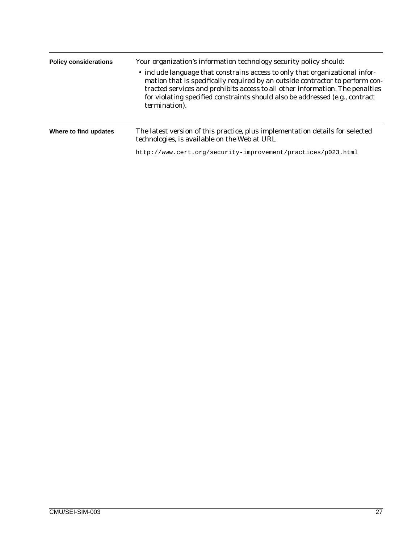| <b>Policy considerations</b> | Your organization's information technology security policy should:<br>• include language that constrains access to only that organizational infor-<br>mation that is specifically required by an outside contractor to perform con-<br>tracted services and prohibits access to all other information. The penalties<br>for violating specified constraints should also be addressed (e.g., contract<br>termination). |
|------------------------------|-----------------------------------------------------------------------------------------------------------------------------------------------------------------------------------------------------------------------------------------------------------------------------------------------------------------------------------------------------------------------------------------------------------------------|
| Where to find updates        | The latest version of this practice, plus implementation details for selected<br>technologies, is available on the Web at URL                                                                                                                                                                                                                                                                                         |
|                              | http://www.cert.org/security-improvement/practices/p023.html                                                                                                                                                                                                                                                                                                                                                          |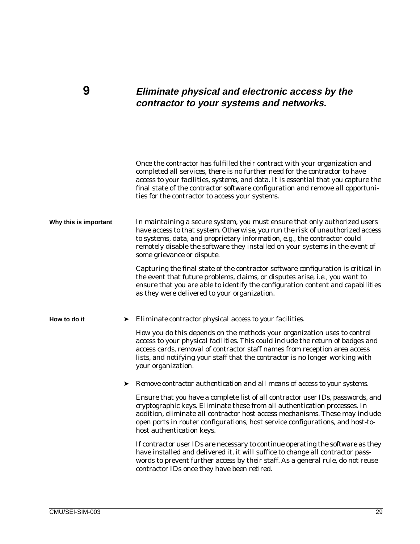### <span id="page-36-0"></span>**9 Eliminate physical and electronic access by the contractor to your systems and networks.**

|                       | Once the contractor has fulfilled their contract with your organization and<br>completed all services, there is no further need for the contractor to have<br>access to your facilities, systems, and data. It is essential that you capture the<br>final state of the contractor software configuration and remove all opportuni-<br>ties for the contractor to access your systems. |
|-----------------------|---------------------------------------------------------------------------------------------------------------------------------------------------------------------------------------------------------------------------------------------------------------------------------------------------------------------------------------------------------------------------------------|
| Why this is important | In maintaining a secure system, you must ensure that only authorized users<br>have access to that system. Otherwise, you run the risk of unauthorized access<br>to systems, data, and proprietary information, e.g., the contractor could<br>remotely disable the software they installed on your systems in the event of<br>some grievance or dispute.                               |
|                       | Capturing the final state of the contractor software configuration is critical in<br>the event that future problems, claims, or disputes arise, i.e., you want to<br>ensure that you are able to identify the configuration content and capabilities<br>as they were delivered to your organization.                                                                                  |
| How to do it          | $\blacktriangleright$ Eliminate contractor physical access to your facilities.                                                                                                                                                                                                                                                                                                        |
|                       | How you do this depends on the methods your organization uses to control<br>access to your physical facilities. This could include the return of badges and<br>access cards, removal of contractor staff names from reception area access<br>lists, and notifying your staff that the contractor is no longer working with<br>your organization.                                      |
|                       | Remove contractor authentication and all means of access to your systems.<br>➤                                                                                                                                                                                                                                                                                                        |
|                       | Ensure that you have a complete list of all contractor user IDs, passwords, and<br>cryptographic keys. Eliminate these from all authentication processes. In<br>addition, eliminate all contractor host access mechanisms. These may include<br>open ports in router configurations, host service configurations, and host-to-<br>host authentication keys.                           |
|                       | If contractor user IDs are necessary to continue operating the software as they<br>have installed and delivered it, it will suffice to change all contractor pass-<br>words to prevent further access by their staff. As a general rule, do not reuse<br>contractor IDs once they have been retired.                                                                                  |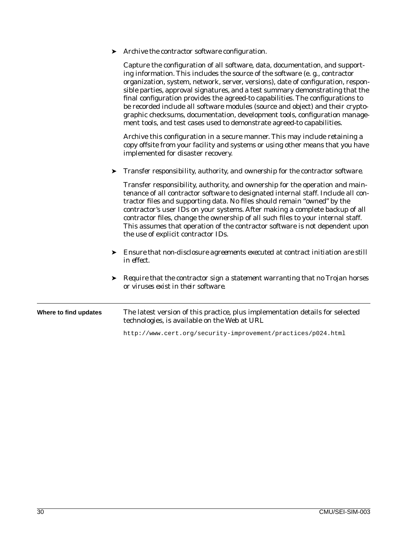| Archive the contractor software configuration. |
|------------------------------------------------|
|------------------------------------------------|

Capture the configuration of all software, data, documentation, and supporting information. This includes the source of the software (e. g., contractor organization, system, network, server, versions), date of configuration, responsible parties, approval signatures, and a test summary demonstrating that the final configuration provides the agreed-to capabilities. The configurations to be recorded include all software modules (source and object) and their cryptographic checksums, documentation, development tools, configuration management tools, and test cases used to demonstrate agreed-to capabilities.

Archive this configuration in a secure manner. This may include retaining a copy offsite from your facility and systems or using other means that you have implemented for disaster recovery.

#### ➤ *Transfer responsibility, authority, and ownership for the contractor software.*

Transfer responsibility, authority, and ownership for the operation and maintenance of all contractor software to designated internal staff. Include all contractor files and supporting data. No files should remain "owned" by the contractor's user IDs on your systems. After making a complete backup of all contractor files, change the ownership of all such files to your internal staff. This assumes that operation of the contractor software is not dependent upon the use of explicit contractor IDs.

- ➤ *Ensure that non-disclosure agreements executed at contract initiation are still in effect.*
- ➤ *Require that the contractor sign a statement warranting that no Trojan horses or viruses exist in their software.*

#### **Where to find updates** The latest version of this practice, plus implementation details for selected technologies, is available on the Web at URL

http://www.cert.org/security-improvement/practices/p024.html